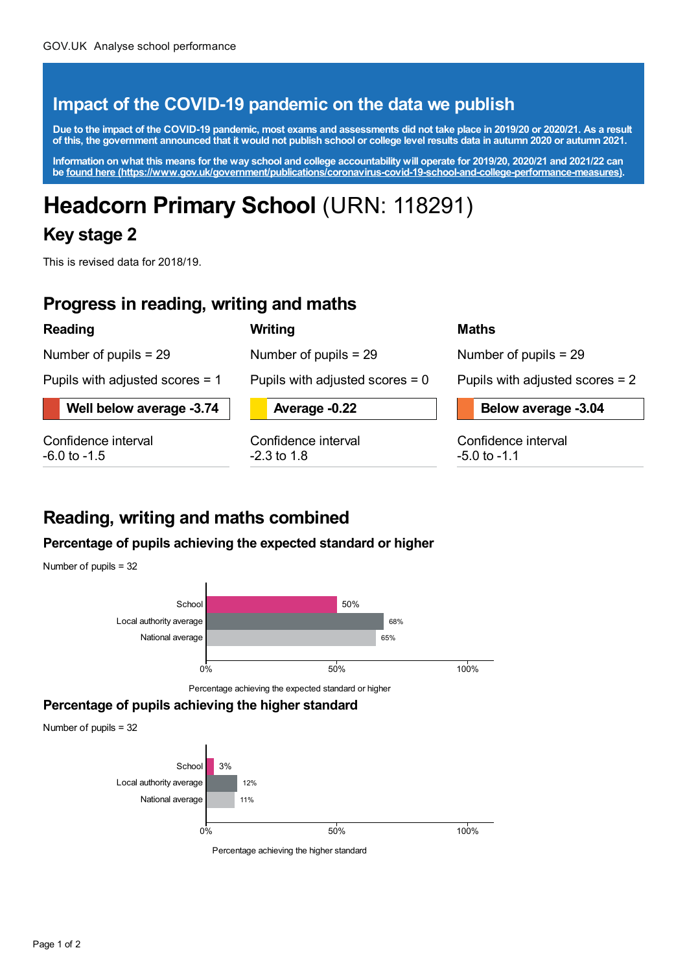## **Impact of the COVID-19 pandemic on the data we publish**

Due to the impact of the COVID-19 pandemic, most exams and assessments did not take place in 2019/20 or 2020/21. As a result of this, the government announced that it would not publish school or college level results data in autumn 2020 or autumn 2021.

Information on what this means for the way school and college accountability will operate for 2019/20, 2020/21 and 2021/22 can **be found here [\(https://www.gov.uk/government/publications/coronavirus-covid-19-school-and-college-performance-measures\)](https://www.gov.uk/government/publications/coronavirus-covid-19-school-and-college-performance-measures).**

# **Headcorn Primary School** (URN: 118291)

### **Key stage 2**

This is revised data for 2018/19.

### **Progress in reading, writing and maths**

### **Reading**

Number of pupils = 29

Pupils with adjusted scores = 1

**Well below average -3.74**

Confidence interval -6.0 to -1.5



Number of pupils = 29

Pupils with adjusted scores = 0

**Average -0.22**

Confidence interval -2.3 to 1.8

#### **Maths**

Number of pupils = 29

Pupils with adjusted scores = 2

**Below average -3.04**

Confidence interval -5.0 to -1.1

# **Reading, writing and maths combined**

### **Percentage of pupils achieving the expected standard or higher**

Number of pupils = 32



Percentage achieving the expected standard or higher

#### **Percentage of pupils achieving the higher standard**

Number of pupils = 32